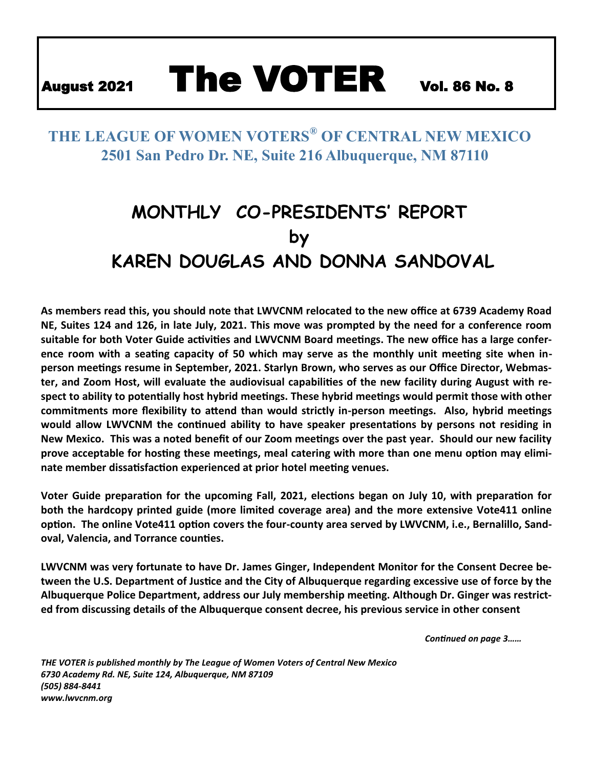# August 2021 The VOTER Vol. 86 No. 8

### **THE LEAGUE OF WOMEN VOTERS® OF CENTRAL NEW MEXICO 2501 San Pedro Dr. NE, Suite 216 Albuquerque, NM 87110**

## **MONTHLY CO-PRESIDENTS' REPORT by KAREN DOUGLAS AND DONNA SANDOVAL**

**As members read this, you should note that LWVCNM relocated to the new office at 6739 Academy Road NE, Suites 124 and 126, in late July, 2021. This move was prompted by the need for a conference room suitable for both Voter Guide activities and LWVCNM Board meetings. The new office has a large conference room with a seating capacity of 50 which may serve as the monthly unit meeting site when inperson meetings resume in September, 2021. Starlyn Brown, who serves as our Office Director, Webmaster, and Zoom Host, will evaluate the audiovisual capabilities of the new facility during August with respect to ability to potentially host hybrid meetings. These hybrid meetings would permit those with other commitments more flexibility to attend than would strictly in-person meetings. Also, hybrid meetings would allow LWVCNM the continued ability to have speaker presentations by persons not residing in New Mexico. This was a noted benefit of our Zoom meetings over the past year. Should our new facility prove acceptable for hosting these meetings, meal catering with more than one menu option may eliminate member dissatisfaction experienced at prior hotel meeting venues.**

**Voter Guide preparation for the upcoming Fall, 2021, elections began on July 10, with preparation for both the hardcopy printed guide (more limited coverage area) and the more extensive Vote411 online option. The online Vote411 option covers the four-county area served by LWVCNM, i.e., Bernalillo, Sandoval, Valencia, and Torrance counties.** 

**LWVCNM was very fortunate to have Dr. James Ginger, Independent Monitor for the Consent Decree between the U.S. Department of Justice and the City of Albuquerque regarding excessive use of force by the Albuquerque Police Department, address our July membership meeting. Although Dr. Ginger was restricted from discussing details of the Albuquerque consent decree, his previous service in other consent**

*Continued on page 3……*

*THE VOTER is published monthly by The League of Women Voters of Central New Mexico 6730 Academy Rd. NE, Suite 124, Albuquerque, NM 87109 (505) 884-8441 www.lwvcnm.org*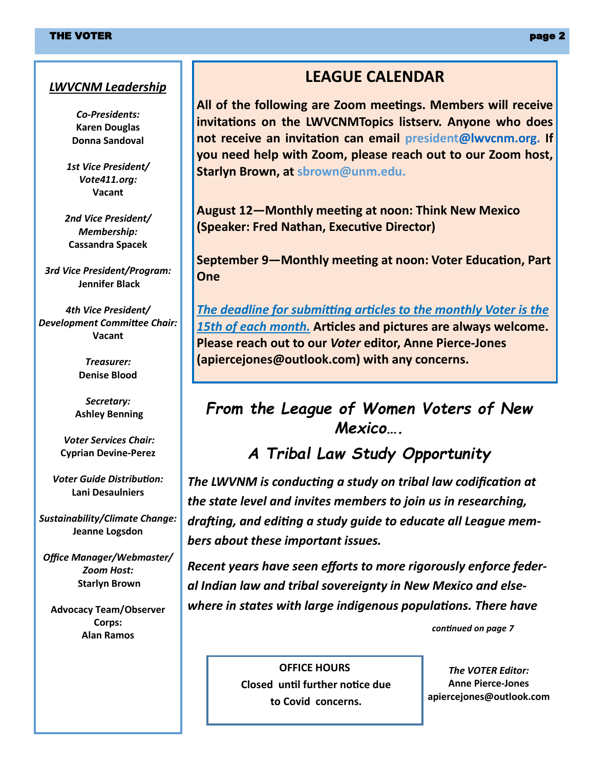#### *LWVCNM Leadership*

*Co-Presidents:* **Karen Douglas Donna Sandoval**

*1st Vice President/ Vote411.org:* **Vacant**

*2nd Vice President/ Membership:* **Cassandra Spacek**

*3rd Vice President/Program:* **Jennifer Black**

*4th Vice President/ Development Committee Chair:* **Vacant**

> *Treasurer:* **Denise Blood**

*Secretary:* **Ashley Benning**

*Voter Services Chair:* **Cyprian Devine-Perez**

*Voter Guide Distribution:* **Lani Desaulniers**

*Sustainability/Climate Change:* **Jeanne Logsdon**

*Office Manager/Webmaster/ Zoom Host:* **Starlyn Brown**

**Advocacy Team/Observer Corps: Alan Ramos**

#### **LEAGUE CALENDAR**

**All of the following are Zoom meetings. Members will receive invitations on the LWVCNMTopics listserv. Anyone who does not receive an invitation can email president@lwvcnm.org. If you need help with Zoom, please reach out to our Zoom host, Starlyn Brown, at sbrown@unm.edu.**

**August 12—Monthly meeting at noon: Think New Mexico (Speaker: Fred Nathan, Executive Director)**

**September 9—Monthly meeting at noon: Voter Education, Part One**

*The deadline for submitting articles to the monthly Voter is the 15th of each month.* **Articles and pictures are always welcome. Please reach out to our** *Voter* **editor, Anne Pierce-Jones (apiercejones@outlook.com) with any concerns.** 

### *From the League of Women Voters of New Mexico….*

### *A Tribal Law Study Opportunity*

*The LWVNM is conducting a study on tribal law codification at the state level and invites members to join us in researching, drafting, and editing a study guide to educate all League members about these important issues.*

*Recent years have seen efforts to more rigorously enforce federal Indian law and tribal sovereignty in New Mexico and elsewhere in states with large indigenous populations. There have*

*continued on page 7*

**OFFICE HOURS Closed until further notice due to Covid concerns.**

*The VOTER Editor:* **Anne Pierce-Jones apiercejones@outlook.com**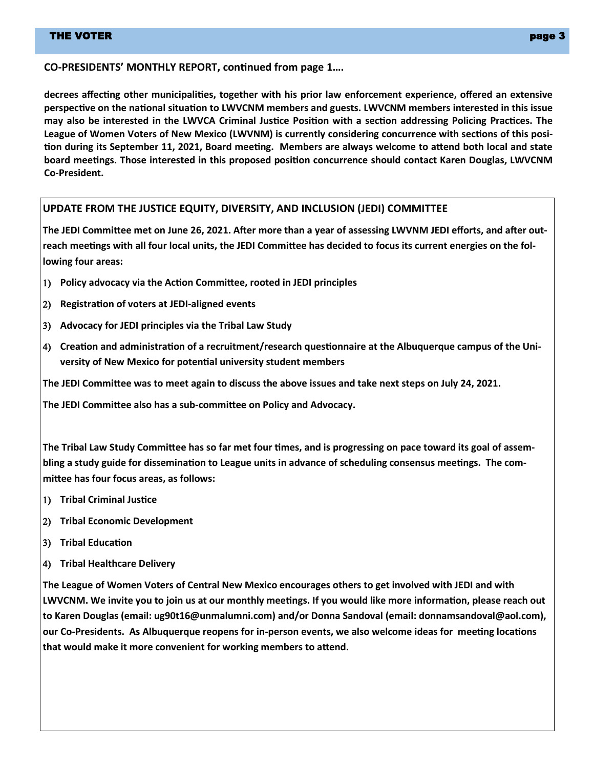#### **CO-PRESIDENTS' MONTHLY REPORT, continued from page 1….**

**decrees affecting other municipalities, together with his prior law enforcement experience, offered an extensive perspective on the national situation to LWVCNM members and guests. LWVCNM members interested in this issue may also be interested in the LWVCA Criminal Justice Position with a section addressing Policing Practices. The League of Women Voters of New Mexico (LWVNM) is currently considering concurrence with sections of this position during its September 11, 2021, Board meeting. Members are always welcome to attend both local and state board meetings. Those interested in this proposed position concurrence should contact Karen Douglas, LWVCNM Co-President.**

#### **UPDATE FROM THE JUSTICE EQUITY, DIVERSITY, AND INCLUSION (JEDI) COMMITTEE**

**The JEDI Committee met on June 26, 2021. After more than a year of assessing LWVNM JEDI efforts, and after outreach meetings with all four local units, the JEDI Committee has decided to focus its current energies on the following four areas:**

- ) **Policy advocacy via the Action Committee, rooted in JEDI principles**
- ) **Registration of voters at JEDI-aligned events**
- ) **Advocacy for JEDI principles via the Tribal Law Study**
- ) **Creation and administration of a recruitment/research questionnaire at the Albuquerque campus of the University of New Mexico for potential university student members**

**The JEDI Committee was to meet again to discuss the above issues and take next steps on July 24, 2021.**

**The JEDI Committee also has a sub-committee on Policy and Advocacy.**

**The Tribal Law Study Committee has so far met four times, and is progressing on pace toward its goal of assembling a study guide for dissemination to League units in advance of scheduling consensus meetings. The committee has four focus areas, as follows:**

- ) **Tribal Criminal Justice**
- ) **Tribal Economic Development**
- ) **Tribal Education**
- ) **Tribal Healthcare Delivery**

**The League of Women Voters of Central New Mexico encourages others to get involved with JEDI and with LWVCNM. We invite you to join us at our monthly meetings. If you would like more information, please reach out to Karen Douglas (email: ug90t16@unmalumni.com) and/or Donna Sandoval (email: donnamsandoval@aol.com), our Co-Presidents. As Albuquerque reopens for in-person events, we also welcome ideas for meeting locations that would make it more convenient for working members to attend.**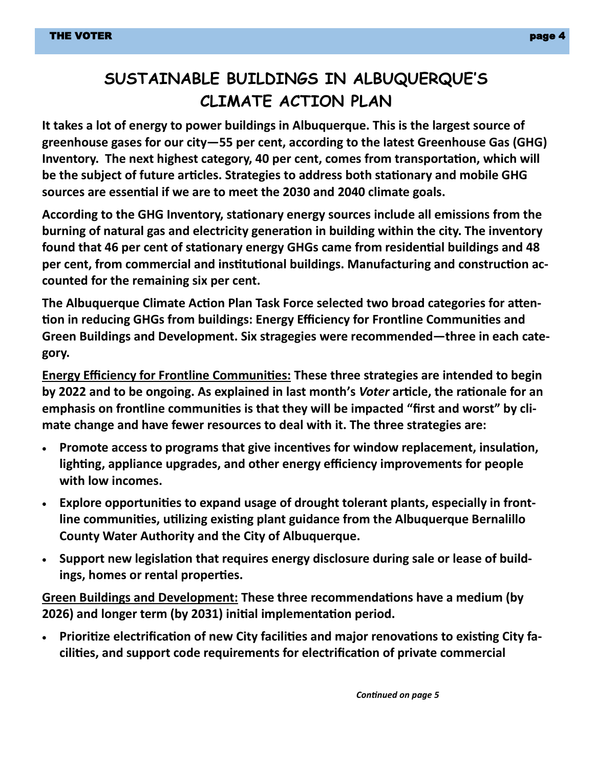### **SUSTAINABLE BUILDINGS IN ALBUQUERQUE'S CLIMATE ACTION PLAN**

**It takes a lot of energy to power buildings in Albuquerque. This is the largest source of greenhouse gases for our city—55 per cent, according to the latest Greenhouse Gas (GHG) Inventory. The next highest category, 40 per cent, comes from transportation, which will be the subject of future articles. Strategies to address both stationary and mobile GHG sources are essential if we are to meet the 2030 and 2040 climate goals.** 

**According to the GHG Inventory, stationary energy sources include all emissions from the burning of natural gas and electricity generation in building within the city. The inventory found that 46 per cent of stationary energy GHGs came from residential buildings and 48 per cent, from commercial and institutional buildings. Manufacturing and construction accounted for the remaining six per cent.**

**The Albuquerque Climate Action Plan Task Force selected two broad categories for attention in reducing GHGs from buildings: Energy Efficiency for Frontline Communities and Green Buildings and Development. Six stragegies were recommended—three in each category.**

**Energy Efficiency for Frontline Communities: These three strategies are intended to begin by 2022 and to be ongoing. As explained in last month's** *Voter* **article, the rationale for an emphasis on frontline communities is that they will be impacted "first and worst" by climate change and have fewer resources to deal with it. The three strategies are:**

- **Promote access to programs that give incentives for window replacement, insulation, lighting, appliance upgrades, and other energy efficiency improvements for people with low incomes.**
- **Explore opportunities to expand usage of drought tolerant plants, especially in frontline communities, utilizing existing plant guidance from the Albuquerque Bernalillo County Water Authority and the City of Albuquerque.**
- **Support new legislation that requires energy disclosure during sale or lease of buildings, homes or rental properties.**

**Green Buildings and Development: These three recommendations have a medium (by 2026) and longer term (by 2031) initial implementation period.**

• **Prioritize electrification of new City facilities and major renovations to existing City facilities, and support code requirements for electrification of private commercial**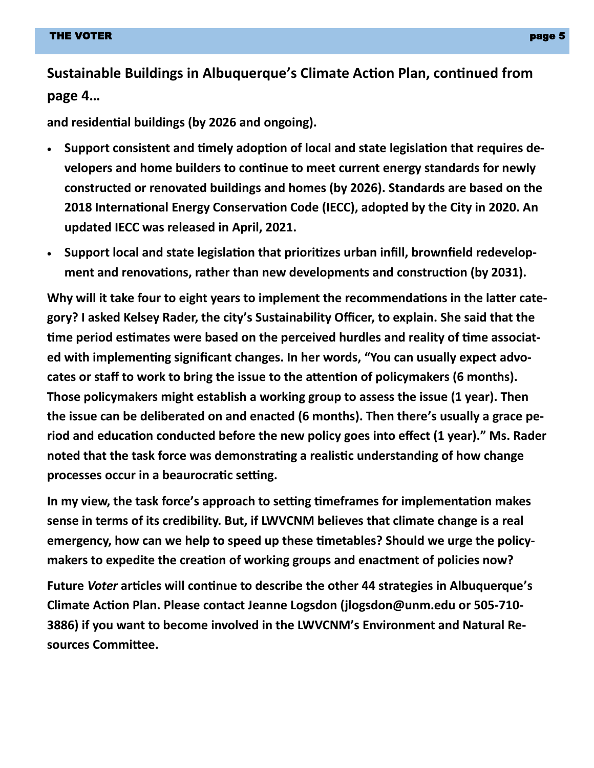**Sustainable Buildings in Albuquerque's Climate Action Plan, continued from page 4…**

**and residential buildings (by 2026 and ongoing).**

- **Support consistent and timely adoption of local and state legislation that requires developers and home builders to continue to meet current energy standards for newly constructed or renovated buildings and homes (by 2026). Standards are based on the 2018 International Energy Conservation Code (IECC), adopted by the City in 2020. An updated IECC was released in April, 2021.**
- **Support local and state legislation that prioritizes urban infill, brownfield redevelopment and renovations, rather than new developments and construction (by 2031).**

**Why will it take four to eight years to implement the recommendations in the latter category? I asked Kelsey Rader, the city's Sustainability Officer, to explain. She said that the time period estimates were based on the perceived hurdles and reality of time associated with implementing significant changes. In her words, "You can usually expect advocates or staff to work to bring the issue to the attention of policymakers (6 months). Those policymakers might establish a working group to assess the issue (1 year). Then the issue can be deliberated on and enacted (6 months). Then there's usually a grace period and education conducted before the new policy goes into effect (1 year)." Ms. Rader noted that the task force was demonstrating a realistic understanding of how change processes occur in a beaurocratic setting.**

**In my view, the task force's approach to setting timeframes for implementation makes sense in terms of its credibility. But, if LWVCNM believes that climate change is a real emergency, how can we help to speed up these timetables? Should we urge the policymakers to expedite the creation of working groups and enactment of policies now?**

**Future** *Voter* **articles will continue to describe the other 44 strategies in Albuquerque's Climate Action Plan. Please contact Jeanne Logsdon (jlogsdon@unm.edu or 505-710- 3886) if you want to become involved in the LWVCNM's Environment and Natural Resources Committee.**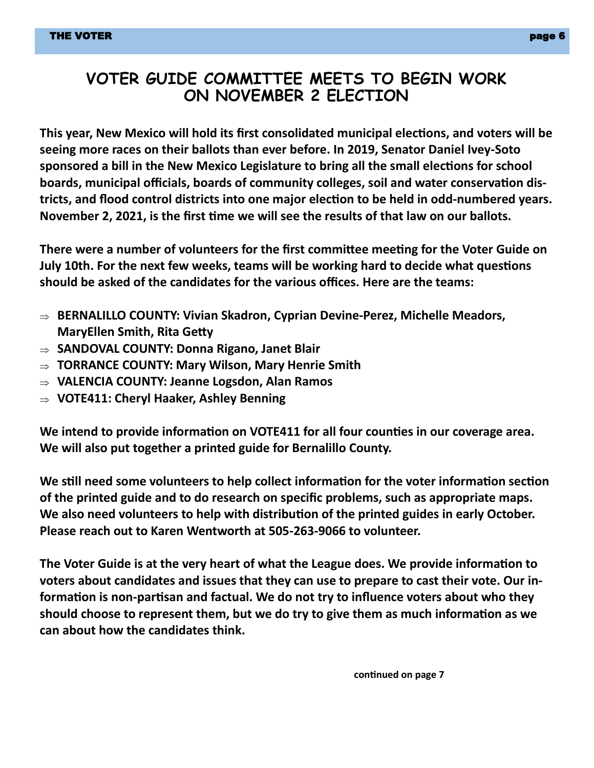#### **VOTER GUIDE COMMITTEE MEETS TO BEGIN WORK ON NOVEMBER 2 ELECTION**

**This year, New Mexico will hold its first consolidated municipal elections, and voters will be seeing more races on their ballots than ever before. In 2019, Senator Daniel Ivey-Soto sponsored a bill in the New Mexico Legislature to bring all the small elections for school boards, municipal officials, boards of community colleges, soil and water conservation districts, and flood control districts into one major election to be held in odd-numbered years. November 2, 2021, is the first time we will see the results of that law on our ballots.**

**There were a number of volunteers for the first committee meeting for the Voter Guide on July 10th. For the next few weeks, teams will be working hard to decide what questions should be asked of the candidates for the various offices. Here are the teams:**

- **BERNALILLO COUNTY: Vivian Skadron, Cyprian Devine-Perez, Michelle Meadors, MaryEllen Smith, Rita Getty**
- **SANDOVAL COUNTY: Donna Rigano, Janet Blair**
- **TORRANCE COUNTY: Mary Wilson, Mary Henrie Smith**
- **VALENCIA COUNTY: Jeanne Logsdon, Alan Ramos**
- **VOTE411: Cheryl Haaker, Ashley Benning**

**We intend to provide information on VOTE411 for all four counties in our coverage area. We will also put together a printed guide for Bernalillo County.**

**We still need some volunteers to help collect information for the voter information section of the printed guide and to do research on specific problems, such as appropriate maps. We also need volunteers to help with distribution of the printed guides in early October. Please reach out to Karen Wentworth at 505-263-9066 to volunteer.**

**The Voter Guide is at the very heart of what the League does. We provide information to voters about candidates and issues that they can use to prepare to cast their vote. Our information is non-partisan and factual. We do not try to influence voters about who they should choose to represent them, but we do try to give them as much information as we can about how the candidates think.**

**continued on page 7**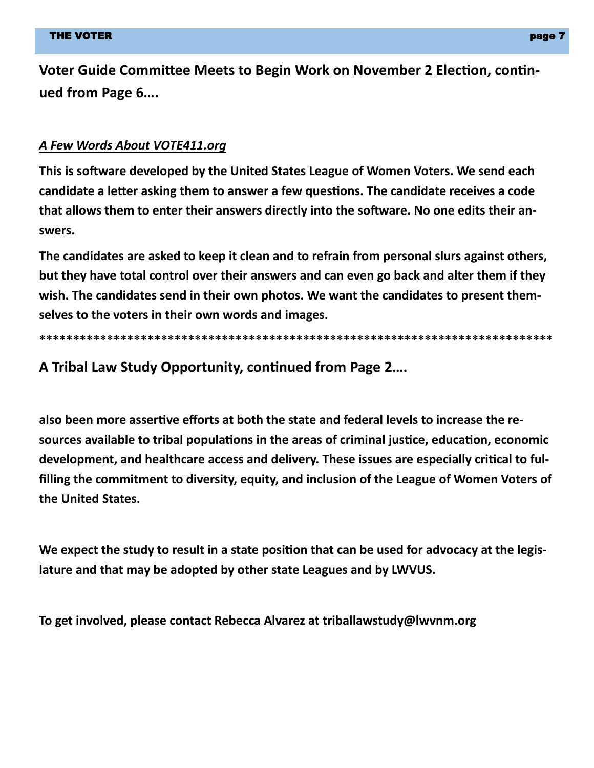**Voter Guide Committee Meets to Begin Work on November 2 Election, continued from Page 6….**

#### *A Few Words About VOTE411.org*

**This is software developed by the United States League of Women Voters. We send each candidate a letter asking them to answer a few questions. The candidate receives a code that allows them to enter their answers directly into the software. No one edits their answers.**

**The candidates are asked to keep it clean and to refrain from personal slurs against others, but they have total control over their answers and can even go back and alter them if they wish. The candidates send in their own photos. We want the candidates to present themselves to the voters in their own words and images.**

**\*\*\*\*\*\*\*\*\*\*\*\*\*\*\*\*\*\*\*\*\*\*\*\*\*\*\*\*\*\*\*\*\*\*\*\*\*\*\*\*\*\*\*\*\*\*\*\*\*\*\*\*\*\*\*\*\*\*\*\*\*\*\*\*\*\*\*\*\*\*\*\*\*\*\*\***

**A Tribal Law Study Opportunity, continued from Page 2….**

**also been more assertive efforts at both the state and federal levels to increase the resources available to tribal populations in the areas of criminal justice, education, economic development, and healthcare access and delivery. These issues are especially critical to fulfilling the commitment to diversity, equity, and inclusion of the League of Women Voters of the United States.**

**We expect the study to result in a state position that can be used for advocacy at the legislature and that may be adopted by other state Leagues and by LWVUS.**

**To get involved, please contact Rebecca Alvarez at triballawstudy@lwvnm.org**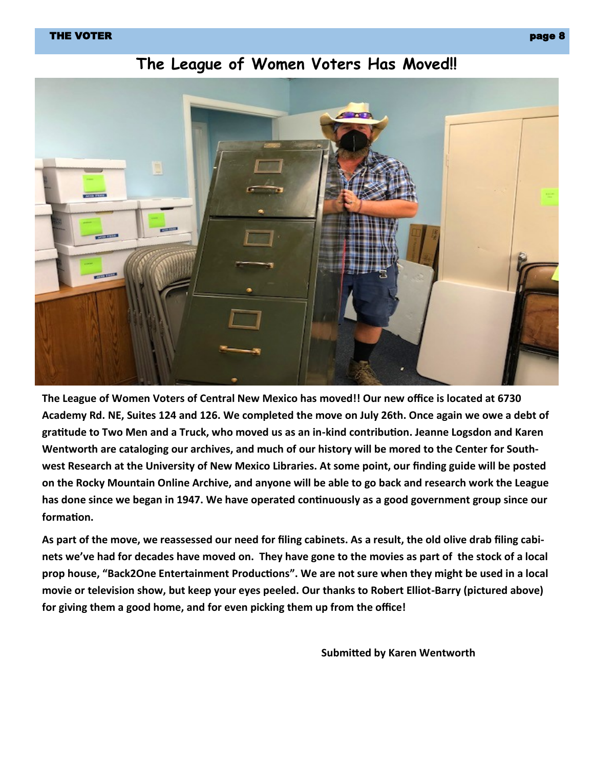#### THE VOTER  $\qquad$  , we have a set of the set of the set of the set of the set of the set of the set of the set of the set of the set of the set of the set of the set of the set of the set of the set of the set of the set of



### **The League of Women Voters Has Moved!!**

**The League of Women Voters of Central New Mexico has moved!! Our new office is located at 6730 Academy Rd. NE, Suites 124 and 126. We completed the move on July 26th. Once again we owe a debt of gratitude to Two Men and a Truck, who moved us as an in-kind contribution. Jeanne Logsdon and Karen Wentworth are cataloging our archives, and much of our history will be mored to the Center for Southwest Research at the University of New Mexico Libraries. At some point, our finding guide will be posted on the Rocky Mountain Online Archive, and anyone will be able to go back and research work the League has done since we began in 1947. We have operated continuously as a good government group since our formation.**

**As part of the move, we reassessed our need for filing cabinets. As a result, the old olive drab filing cabinets we've had for decades have moved on. They have gone to the movies as part of the stock of a local prop house, "Back2One Entertainment Productions". We are not sure when they might be used in a local movie or television show, but keep your eyes peeled. Our thanks to Robert Elliot-Barry (pictured above) for giving them a good home, and for even picking them up from the office!**

**Submitted by Karen Wentworth**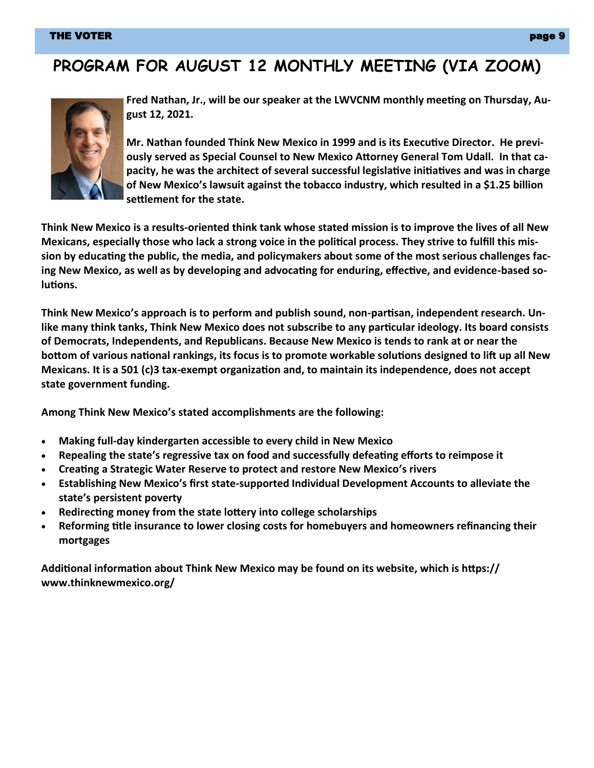#### THE VOTER page 9 and 20 page 9 and 20 page 9 and 20 page 9 and 20 page 9 and 20 page 9 and 20 page 9 and 20 pag

### **PROGRAM FOR AUGUST 12 MONTHLY MEETING (VIA ZOOM)**



**Fred Nathan, Jr., will be our speaker at the LWVCNM monthly meeting on Thursday, August 12, 2021.** 

**Mr. Nathan founded Think New Mexico in 1999 and is its Executive Director. He previously served as Special Counsel to New Mexico Attorney General Tom Udall. In that capacity, he was the architect of several successful legislative initiatives and was in charge of New Mexico's lawsuit against the tobacco industry, which resulted in a \$1.25 billion settlement for the state.**

**Think New Mexico is a results-oriented think tank whose stated mission is to improve the lives of all New Mexicans, especially those who lack a strong voice in the political process. They strive to fulfill this mission by educating the public, the media, and policymakers about some of the most serious challenges facing New Mexico, as well as by developing and advocating for enduring, effective, and evidence-based solutions.**

**Think New Mexico's approach is to perform and publish sound, non-partisan, independent research. Unlike many think tanks, Think New Mexico does not subscribe to any particular ideology. Its board consists of Democrats, Independents, and Republicans. Because New Mexico is tends to rank at or near the bottom of various national rankings, its focus is to promote workable solutions designed to lift up all New Mexicans. It is a 501 (c)3 tax-exempt organization and, to maintain its independence, does not accept state government funding.**

**Among Think New Mexico's stated accomplishments are the following:**

- **Making full-day kindergarten accessible to every child in New Mexico**
- **Repealing the state's regressive tax on food and successfully defeating efforts to reimpose it**
- **Creating a Strategic Water Reserve to protect and restore New Mexico's rivers**
- **Establishing New Mexico's first state-supported Individual Development Accounts to alleviate the state's persistent poverty**
- **Redirecting money from the state lottery into college scholarships**
- **Reforming title insurance to lower closing costs for homebuyers and homeowners refinancing their mortgages**

**Additional information about Think New Mexico may be found on its website, which is https:// www.thinknewmexico.org/**